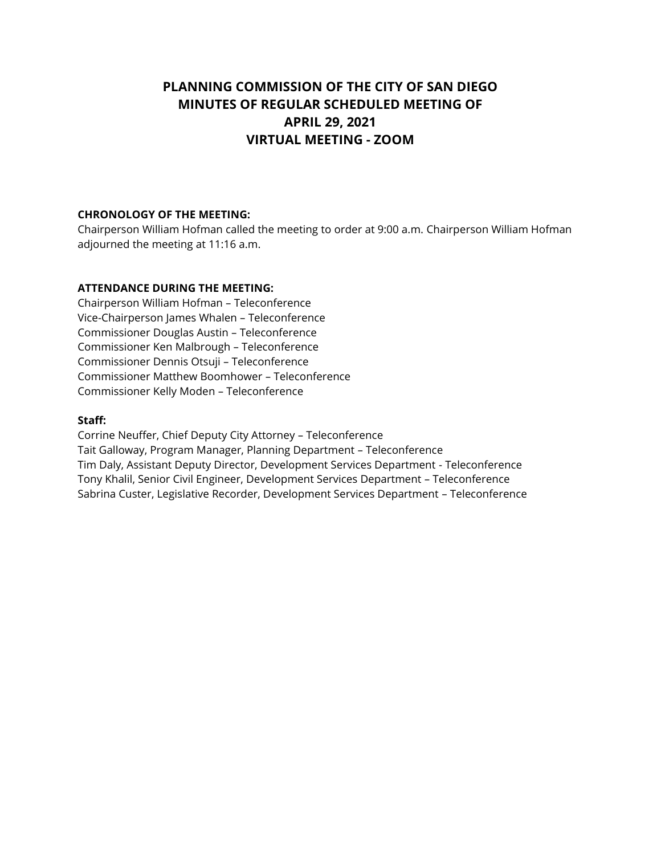# **PLANNING COMMISSION OF THE CITY OF SAN DIEGO MINUTES OF REGULAR SCHEDULED MEETING OF APRIL 29, 2021 VIRTUAL MEETING - ZOOM**

## **CHRONOLOGY OF THE MEETING:**

Chairperson William Hofman called the meeting to order at 9:00 a.m. Chairperson William Hofman adjourned the meeting at 11:16 a.m.

#### **ATTENDANCE DURING THE MEETING:**

Chairperson William Hofman – Teleconference Vice-Chairperson James Whalen – Teleconference Commissioner Douglas Austin – Teleconference Commissioner Ken Malbrough – Teleconference Commissioner Dennis Otsuji – Teleconference Commissioner Matthew Boomhower – Teleconference Commissioner Kelly Moden – Teleconference

#### **Staff:**

Corrine Neuffer, Chief Deputy City Attorney – Teleconference Tait Galloway, Program Manager, Planning Department – Teleconference Tim Daly, Assistant Deputy Director, Development Services Department - Teleconference Tony Khalil, Senior Civil Engineer, Development Services Department – Teleconference Sabrina Custer, Legislative Recorder, Development Services Department – Teleconference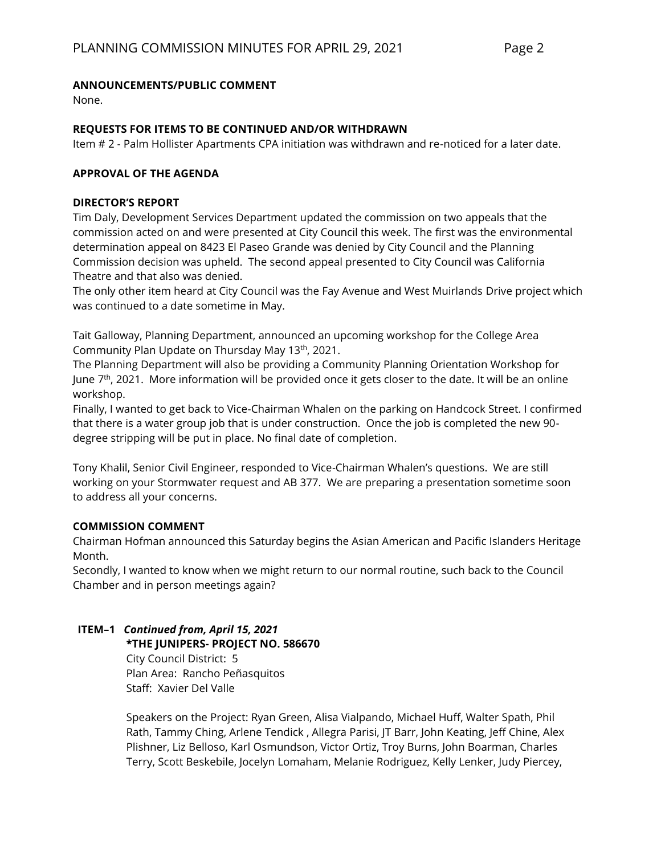#### **ANNOUNCEMENTS/PUBLIC COMMENT**

None.

#### **REQUESTS FOR ITEMS TO BE CONTINUED AND/OR WITHDRAWN**

Item # 2 - Palm Hollister Apartments CPA initiation was withdrawn and re-noticed for a later date.

#### **APPROVAL OF THE AGENDA**

#### **DIRECTOR'S REPORT**

Tim Daly, Development Services Department updated the commission on two appeals that the commission acted on and were presented at City Council this week. The first was the environmental determination appeal on 8423 El Paseo Grande was denied by City Council and the Planning Commission decision was upheld. The second appeal presented to City Council was California Theatre and that also was denied.

The only other item heard at City Council was the Fay Avenue and West Muirlands Drive project which was continued to a date sometime in May.

Tait Galloway, Planning Department, announced an upcoming workshop for the College Area Community Plan Update on Thursday May 13th, 2021.

The Planning Department will also be providing a Community Planning Orientation Workshop for June 7<sup>th</sup>, 2021. More information will be provided once it gets closer to the date. It will be an online workshop.

Finally, I wanted to get back to Vice-Chairman Whalen on the parking on Handcock Street. I confirmed that there is a water group job that is under construction. Once the job is completed the new 90 degree stripping will be put in place. No final date of completion.

Tony Khalil, Senior Civil Engineer, responded to Vice-Chairman Whalen's questions. We are still working on your Stormwater request and AB 377. We are preparing a presentation sometime soon to address all your concerns.

## **COMMISSION COMMENT**

Chairman Hofman announced this Saturday begins the Asian American and Pacific Islanders Heritage Month.

Secondly, I wanted to know when we might return to our normal routine, such back to the Council Chamber and in person meetings again?

## **ITEM–1** *Continued from, April 15, 2021*

**\*THE JUNIPERS- PROJECT NO. 586670**

City Council District: 5 Plan Area: Rancho Peñasquitos Staff: Xavier Del Valle

Speakers on the Project: Ryan Green, Alisa Vialpando, Michael Huff, Walter Spath, Phil Rath, Tammy Ching, Arlene Tendick , Allegra Parisi, JT Barr, John Keating, Jeff Chine, Alex Plishner, Liz Belloso, Karl Osmundson, Victor Ortiz, Troy Burns, John Boarman, Charles Terry, Scott Beskebile, Jocelyn Lomaham, Melanie Rodriguez, Kelly Lenker, Judy Piercey,